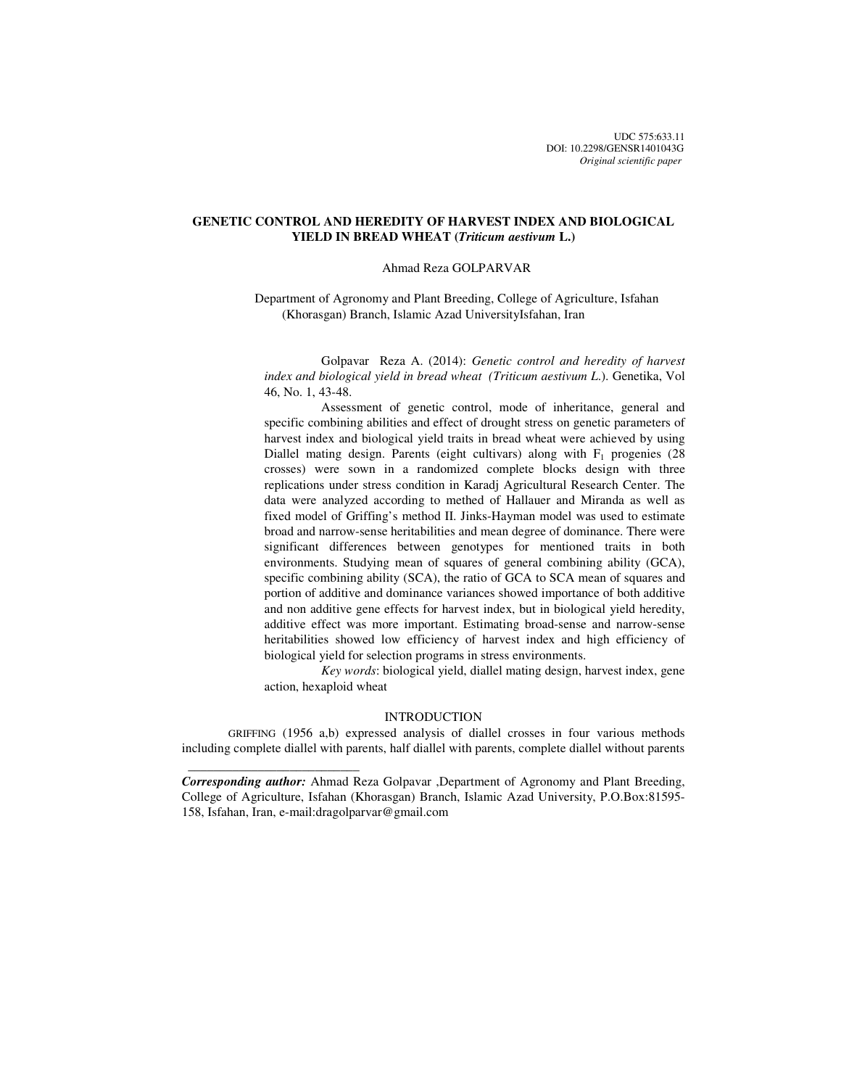UDC 575:633.11 DOI: 10.2298/GENSR1401043G *Original scientific paper*

# **GENETIC CONTROL AND HEREDITY OF HARVEST INDEX AND BIOLOGICAL YIELD IN BREAD WHEAT (***Triticum aestivum* **L.)**

### Ahmad Reza GOLPARVAR

Department of Agronomy and Plant Breeding, College of Agriculture, Isfahan (Khorasgan) Branch, Islamic Azad UniversityIsfahan, Iran

Golpavar Reza A. (2014): *Genetic control and heredity of harvest index and biological yield in bread wheat (Triticum aestivum L*.). Genetika, Vol 46, No. 1, 43-48.

 Assessment of genetic control, mode of inheritance, general and specific combining abilities and effect of drought stress on genetic parameters of harvest index and biological yield traits in bread wheat were achieved by using Diallel mating design. Parents (eight cultivars) along with  $F_1$  progenies (28 crosses) were sown in a randomized complete blocks design with three replications under stress condition in Karadj Agricultural Research Center. The data were analyzed according to methed of Hallauer and Miranda as well as fixed model of Griffing's method II. Jinks-Hayman model was used to estimate broad and narrow-sense heritabilities and mean degree of dominance. There were significant differences between genotypes for mentioned traits in both environments. Studying mean of squares of general combining ability (GCA), specific combining ability (SCA), the ratio of GCA to SCA mean of squares and portion of additive and dominance variances showed importance of both additive and non additive gene effects for harvest index, but in biological yield heredity, additive effect was more important. Estimating broad-sense and narrow-sense heritabilities showed low efficiency of harvest index and high efficiency of biological yield for selection programs in stress environments.

 *Key words*: biological yield, diallel mating design, harvest index, gene action, hexaploid wheat

### INTRODUCTION

GRIFFING (1956 a,b) expressed analysis of diallel crosses in four various methods including complete diallel with parents, half diallel with parents, complete diallel without parents

 $\frac{1}{2}$  , and the set of the set of the set of the set of the set of the set of the set of the set of the set of the set of the set of the set of the set of the set of the set of the set of the set of the set of the set

*Corresponding author:* Ahmad Reza Golpavar ,Department of Agronomy and Plant Breeding, College of Agriculture, Isfahan (Khorasgan) Branch, Islamic Azad University, P.O.Box:81595- 158, Isfahan, Iran, e-mail:dragolparvar@gmail.com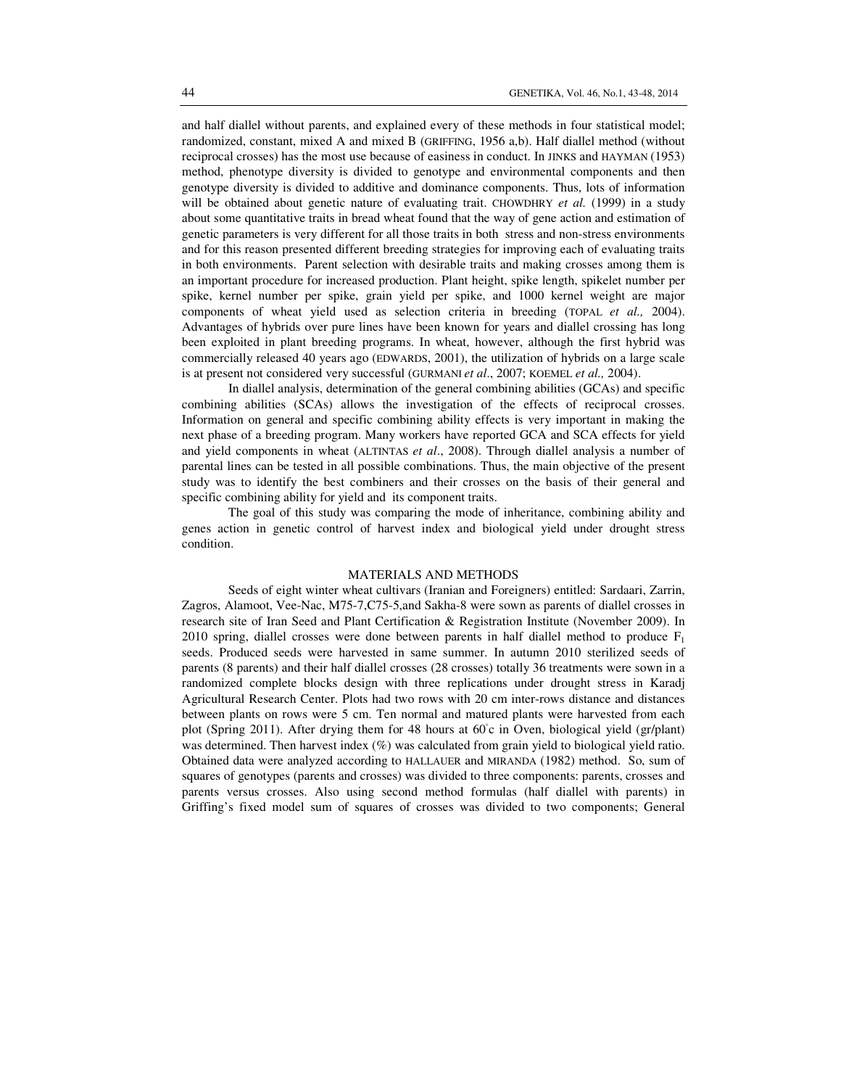and half diallel without parents, and explained every of these methods in four statistical model; randomized, constant, mixed A and mixed B (GRIFFING, 1956 a,b). Half diallel method (without reciprocal crosses) has the most use because of easiness in conduct. In JINKS and HAYMAN (1953) method, phenotype diversity is divided to genotype and environmental components and then genotype diversity is divided to additive and dominance components. Thus, lots of information will be obtained about genetic nature of evaluating trait. CHOWDHRY *et al.* (1999) in a study about some quantitative traits in bread wheat found that the way of gene action and estimation of genetic parameters is very different for all those traits in both stress and non-stress environments and for this reason presented different breeding strategies for improving each of evaluating traits in both environments. Parent selection with desirable traits and making crosses among them is an important procedure for increased production. Plant height, spike length, spikelet number per spike, kernel number per spike, grain yield per spike, and 1000 kernel weight are major components of wheat yield used as selection criteria in breeding (TOPAL *et al.,* 2004). Advantages of hybrids over pure lines have been known for years and diallel crossing has long been exploited in plant breeding programs. In wheat, however, although the first hybrid was commercially released 40 years ago (EDWARDS, 2001), the utilization of hybrids on a large scale is at present not considered very successful (GURMANI *et al*., 2007; KOEMEL *et al.,* 2004).

In diallel analysis, determination of the general combining abilities (GCAs) and specific combining abilities (SCAs) allows the investigation of the effects of reciprocal crosses. Information on general and specific combining ability effects is very important in making the next phase of a breeding program. Many workers have reported GCA and SCA effects for yield and yield components in wheat (ALTINTAS *et al*., 2008). Through diallel analysis a number of parental lines can be tested in all possible combinations. Thus, the main objective of the present study was to identify the best combiners and their crosses on the basis of their general and specific combining ability for yield and its component traits.

The goal of this study was comparing the mode of inheritance, combining ability and genes action in genetic control of harvest index and biological yield under drought stress condition.

### MATERIALS AND METHODS

Seeds of eight winter wheat cultivars (Iranian and Foreigners) entitled: Sardaari, Zarrin, Zagros, Alamoot, Vee-Nac, M75-7,C75-5,and Sakha-8 were sown as parents of diallel crosses in research site of Iran Seed and Plant Certification & Registration Institute (November 2009). In 2010 spring, diallel crosses were done between parents in half diallel method to produce  $F_1$ seeds. Produced seeds were harvested in same summer. In autumn 2010 sterilized seeds of parents (8 parents) and their half diallel crosses (28 crosses) totally 36 treatments were sown in a randomized complete blocks design with three replications under drought stress in Karadj Agricultural Research Center. Plots had two rows with 20 cm inter-rows distance and distances between plants on rows were 5 cm. Ten normal and matured plants were harvested from each plot (Spring 2011). After drying them for 48 hours at 60°c in Oven, biological yield (gr/plant) was determined. Then harvest index (%) was calculated from grain yield to biological yield ratio. Obtained data were analyzed according to HALLAUER and MIRANDA (1982) method. So, sum of squares of genotypes (parents and crosses) was divided to three components: parents, crosses and parents versus crosses. Also using second method formulas (half diallel with parents) in Griffing's fixed model sum of squares of crosses was divided to two components; General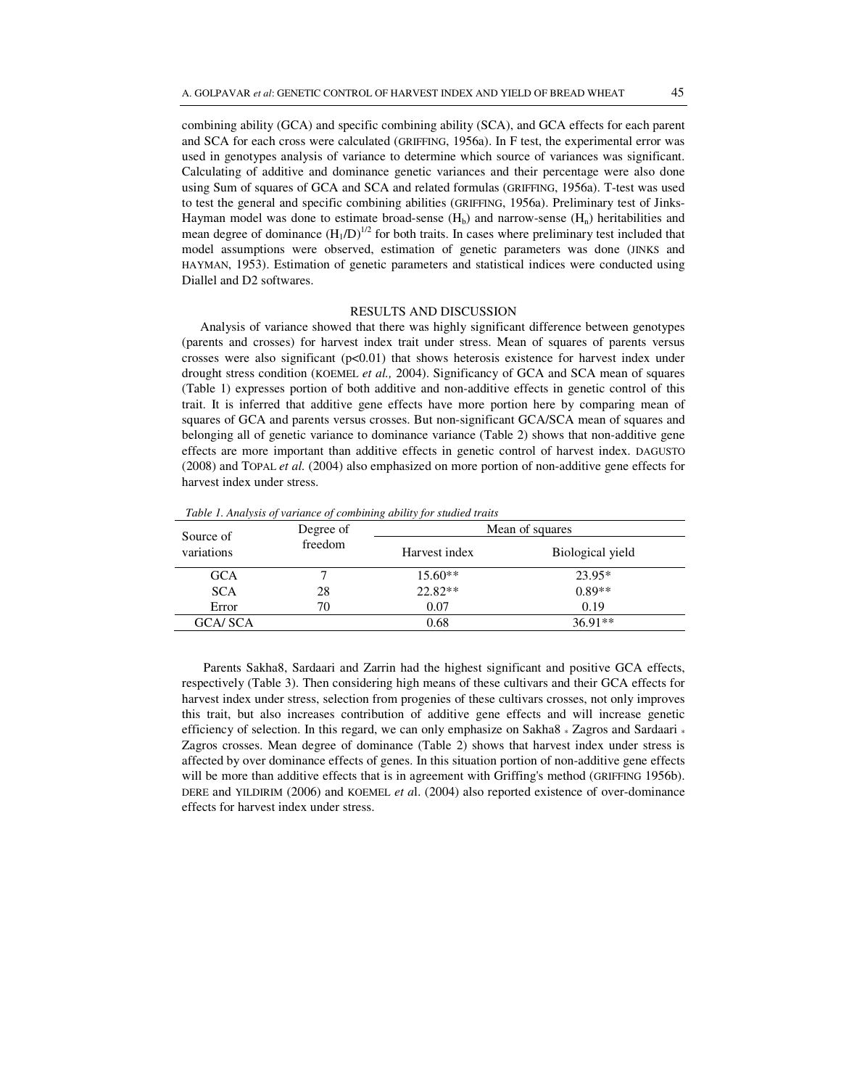combining ability (GCA) and specific combining ability (SCA), and GCA effects for each parent and SCA for each cross were calculated (GRIFFING, 1956a). In F test, the experimental error was used in genotypes analysis of variance to determine which source of variances was significant. Calculating of additive and dominance genetic variances and their percentage were also done using Sum of squares of GCA and SCA and related formulas (GRIFFING, 1956a). T-test was used to test the general and specific combining abilities (GRIFFING, 1956a). Preliminary test of Jinks-Hayman model was done to estimate broad-sense  $(H_b)$  and narrow-sense  $(H_n)$  heritabilities and mean degree of dominance  $(H_1/D)^{1/2}$  for both traits. In cases where preliminary test included that model assumptions were observed, estimation of genetic parameters was done (JINKS and HAYMAN, 1953). Estimation of genetic parameters and statistical indices were conducted using

#### RESULTS AND DISCUSSION

Analysis of variance showed that there was highly significant difference between genotypes (parents and crosses) for harvest index trait under stress. Mean of squares of parents versus crosses were also significant  $(p<0.01)$  that shows heterosis existence for harvest index under drought stress condition (KOEMEL *et al.,* 2004). Significancy of GCA and SCA mean of squares (Table 1) expresses portion of both additive and non-additive effects in genetic control of this trait. It is inferred that additive gene effects have more portion here by comparing mean of squares of GCA and parents versus crosses. But non-significant GCA/SCA mean of squares and belonging all of genetic variance to dominance variance (Table 2) shows that non-additive gene effects are more important than additive effects in genetic control of harvest index. DAGUSTO (2008) and TOPAL *et al.* (2004) also emphasized on more portion of non-additive gene effects for harvest index under stress.

*Table 1. Analysis of variance of combining ability for studied traits* 

Diallel and D2 softwares.

| Source of      | Degree of<br>freedom | Mean of squares |                  |  |  |
|----------------|----------------------|-----------------|------------------|--|--|
| variations     |                      | Harvest index   | Biological yield |  |  |
| <b>GCA</b>     |                      | $15.60**$       | 23.95*           |  |  |
| <b>SCA</b>     | 28                   | $22.82**$       | $0.89**$         |  |  |
| Error          | 70                   | 0.07            | 0.19             |  |  |
| <b>GCA/SCA</b> |                      | 0.68            | $36.91**$        |  |  |

 Parents Sakha8, Sardaari and Zarrin had the highest significant and positive GCA effects, respectively (Table 3). Then considering high means of these cultivars and their GCA effects for harvest index under stress, selection from progenies of these cultivars crosses, not only improves this trait, but also increases contribution of additive gene effects and will increase genetic efficiency of selection. In this regard, we can only emphasize on Sakha8  $*$  Zagros and Sardaari  $*$ Zagros crosses. Mean degree of dominance (Table 2) shows that harvest index under stress is affected by over dominance effects of genes. In this situation portion of non-additive gene effects will be more than additive effects that is in agreement with Griffing's method (GRIFFING 1956b). DERE and YILDIRIM (2006) and KOEMEL *et a*l. (2004) also reported existence of over-dominance effects for harvest index under stress.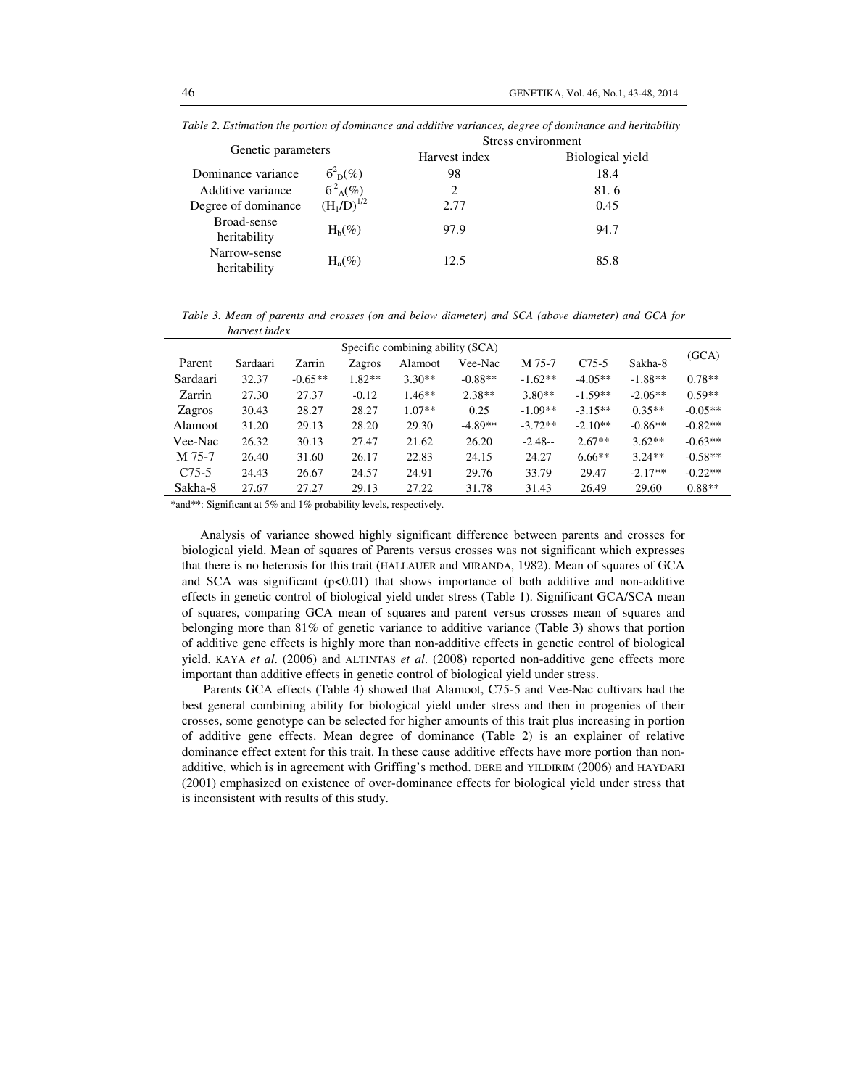|                              |                             | Stress environment |                  |  |  |
|------------------------------|-----------------------------|--------------------|------------------|--|--|
| Genetic parameters           |                             | Harvest index      | Biological yield |  |  |
| Dominance variance           | $6^2$ <sub>D</sub> $(\%)$   | 98                 | 18.4             |  |  |
| Additive variance            | $6^{2}$ <sub>A</sub> $(\%)$ |                    | 81.6             |  |  |
| Degree of dominance          | $(H_1/D)^{1/2}$             | 2.77               | 0.45             |  |  |
| Broad-sense<br>heritability  | $H_h(\%)$                   | 97.9               | 94.7             |  |  |
| Narrow-sense<br>heritability | $H_n(\%)$                   | 12.5               | 85.8             |  |  |

*Table 2. Estimation the portion of dominance and additive variances, degree of dominance and heritability* 

*Table 3. Mean of parents and crosses (on and below diameter) and SCA (above diameter) and GCA for harvest index* 

| Specific combining ability (SCA) |          |           |          |          |           |           |           |           |           |
|----------------------------------|----------|-----------|----------|----------|-----------|-----------|-----------|-----------|-----------|
| Parent                           | Sardaari | Zarrin    | Zagros   | Alamoot  | Vee-Nac   | M 75-7    | $C75-5$   | Sakha-8   | (GCA)     |
| Sardaari                         | 32.37    | $-0.65**$ | $1.82**$ | $3.30**$ | $-0.88**$ | $-1.62**$ | $-4.05**$ | $-1.88**$ | $0.78**$  |
| Zarrin                           | 27.30    | 27.37     | $-0.12$  | $1.46**$ | $2.38**$  | $3.80**$  | $-1.59**$ | $-2.06**$ | $0.59**$  |
| Zagros                           | 30.43    | 28.27     | 28.27    | $1.07**$ | 0.25      | $-1.09**$ | $-3.15**$ | $0.35**$  | $-0.05**$ |
| Alamoot                          | 31.20    | 29.13     | 28.20    | 29.30    | $-4.89**$ | $-3.72**$ | $-2.10**$ | $-0.86**$ | $-0.82**$ |
| Vee-Nac                          | 26.32    | 30.13     | 27.47    | 21.62    | 26.20     | $-2.48-$  | $2.67**$  | $3.62**$  | $-0.63**$ |
| M 75-7                           | 26.40    | 31.60     | 26.17    | 22.83    | 24.15     | 24.27     | $6.66**$  | $3.24**$  | $-0.58**$ |
| $C75-5$                          | 24.43    | 26.67     | 24.57    | 24.91    | 29.76     | 33.79     | 29.47     | $-2.17**$ | $-0.22**$ |
| Sakha-8                          | 27.67    | 27.27     | 29.13    | 27.22    | 31.78     | 31.43     | 26.49     | 29.60     | $0.88**$  |

\*and\*\*: Significant at 5% and 1% probability levels, respectively.

Analysis of variance showed highly significant difference between parents and crosses for biological yield. Mean of squares of Parents versus crosses was not significant which expresses that there is no heterosis for this trait (HALLAUER and MIRANDA, 1982). Mean of squares of GCA and SCA was significant  $(p<0.01)$  that shows importance of both additive and non-additive effects in genetic control of biological yield under stress (Table 1). Significant GCA/SCA mean of squares, comparing GCA mean of squares and parent versus crosses mean of squares and belonging more than 81% of genetic variance to additive variance (Table 3) shows that portion of additive gene effects is highly more than non-additive effects in genetic control of biological yield. KAYA *et al*. (2006) and ALTINTAS *et al*. (2008) reported non-additive gene effects more important than additive effects in genetic control of biological yield under stress.

 Parents GCA effects (Table 4) showed that Alamoot, C75-5 and Vee-Nac cultivars had the best general combining ability for biological yield under stress and then in progenies of their crosses, some genotype can be selected for higher amounts of this trait plus increasing in portion of additive gene effects. Mean degree of dominance (Table 2) is an explainer of relative dominance effect extent for this trait. In these cause additive effects have more portion than nonadditive, which is in agreement with Griffing's method. DERE and YILDIRIM (2006) and HAYDARI (2001) emphasized on existence of over-dominance effects for biological yield under stress that is inconsistent with results of this study.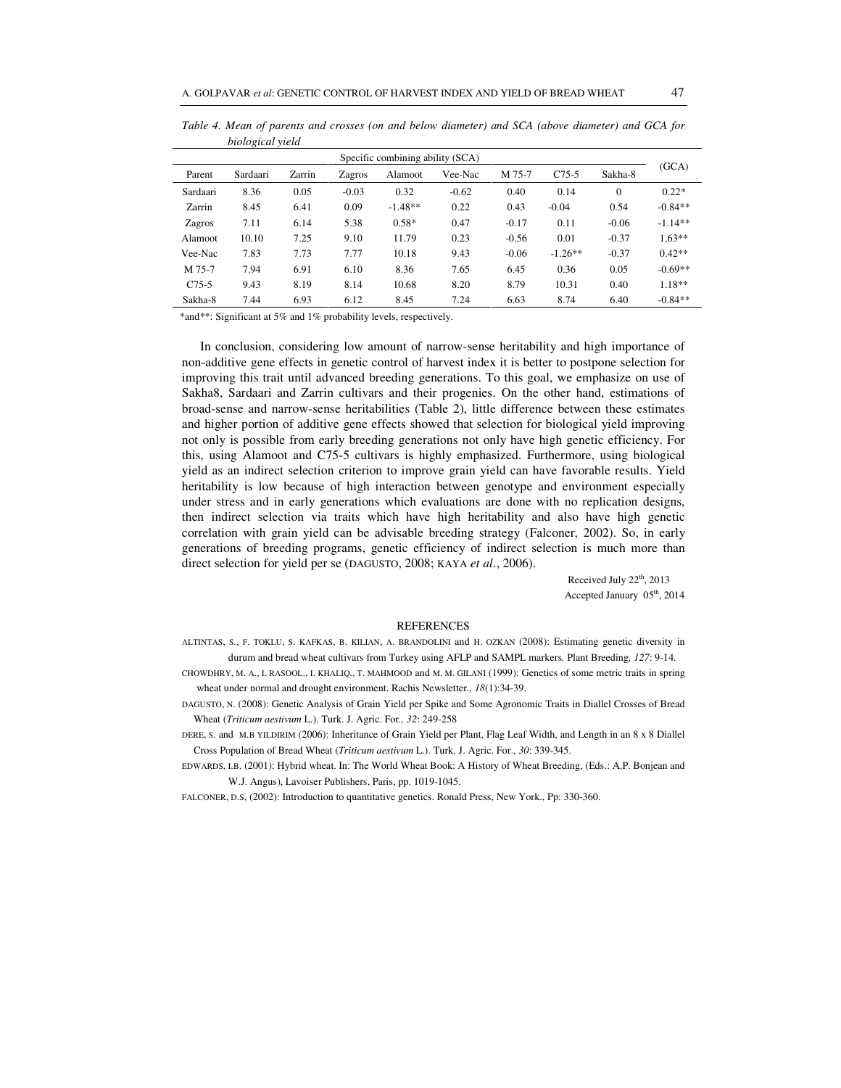| Specific combining ability (SCA) |          |        |         |           |         |         |           |              |           |
|----------------------------------|----------|--------|---------|-----------|---------|---------|-----------|--------------|-----------|
| Parent                           | Sardaari | Zarrin | Zagros  | Alamoot   | Vee-Nac | M 75-7  | $C75-5$   | Sakha-8      | (GCA)     |
| Sardaari                         | 8.36     | 0.05   | $-0.03$ | 0.32      | $-0.62$ | 0.40    | 0.14      | $\mathbf{0}$ | $0.22*$   |
| Zarrin                           | 8.45     | 6.41   | 0.09    | $-1.48**$ | 0.22    | 0.43    | $-0.04$   | 0.54         | $-0.84**$ |
| Zagros                           | 7.11     | 6.14   | 5.38    | $0.58*$   | 0.47    | $-0.17$ | 0.11      | $-0.06$      | $-1.14**$ |
| Alamoot                          | 10.10    | 7.25   | 9.10    | 11.79     | 0.23    | $-0.56$ | 0.01      | $-0.37$      | $1.63**$  |
| Vee-Nac                          | 7.83     | 7.73   | 7.77    | 10.18     | 9.43    | $-0.06$ | $-1.26**$ | $-0.37$      | $0.42**$  |
| M 75-7                           | 7.94     | 6.91   | 6.10    | 8.36      | 7.65    | 6.45    | 0.36      | 0.05         | $-0.69**$ |
| $C75-5$                          | 9.43     | 8.19   | 8.14    | 10.68     | 8.20    | 8.79    | 10.31     | 0.40         | $1.18**$  |
| Sakha-8                          | 7.44     | 6.93   | 6.12    | 8.45      | 7.24    | 6.63    | 8.74      | 6.40         | $-0.84**$ |

*Table 4. Mean of parents and crosses (on and below diameter) and SCA (above diameter) and GCA for biological yield* 

\*and\*\*: Significant at 5% and 1% probability levels, respectively.

In conclusion, considering low amount of narrow-sense heritability and high importance of non-additive gene effects in genetic control of harvest index it is better to postpone selection for improving this trait until advanced breeding generations. To this goal, we emphasize on use of Sakha8, Sardaari and Zarrin cultivars and their progenies. On the other hand, estimations of broad-sense and narrow-sense heritabilities (Table 2), little difference between these estimates and higher portion of additive gene effects showed that selection for biological yield improving not only is possible from early breeding generations not only have high genetic efficiency. For this, using Alamoot and C75-5 cultivars is highly emphasized. Furthermore, using biological yield as an indirect selection criterion to improve grain yield can have favorable results. Yield heritability is low because of high interaction between genotype and environment especially under stress and in early generations which evaluations are done with no replication designs, then indirect selection via traits which have high heritability and also have high genetic correlation with grain yield can be advisable breeding strategy (Falconer, 2002). So, in early generations of breeding programs, genetic efficiency of indirect selection is much more than direct selection for yield per se (DAGUSTO, 2008; KAYA *et al*., 2006).

> Received July 22<sup>th</sup>, 2013 Accepted January 05<sup>th</sup>, 2014

#### **REFERENCES**

- ALTINTAS, S., F. TOKLU, S. KAFKAS, B. KILIAN, A. BRANDOLINI and H. OZKAN (2008): Estimating genetic diversity in durum and bread wheat cultivars from Turkey using AFLP and SAMPL markers*.* Plant Breeding*, 127*: 9-14*.*
- CHOWDHRY, M. A., I. RASOOL., I. KHALIQ., T. MAHMOOD and M. M. GILANI (1999): Genetics of some metric traits in spring wheat under normal and drought environment. Rachis Newsletter*., 18*(1):34-39.
- DAGUSTO, N. (2008): Genetic Analysis of Grain Yield per Spike and Some Agronomic Traits in Diallel Crosses of Bread Wheat (*Triticum aestivum* L.). Turk. J. Agric. For*., 32*: 249-258

DERE, S. and M.B YILDIRIM (2006): Inheritance of Grain Yield per Plant, Flag Leaf Width, and Length in an 8 x 8 Diallel Cross Population of Bread Wheat (*Triticum aestivum* L.). Turk. J. Agric. For., *30*: 339-345.

EDWARDS, I.B. (2001): Hybrid wheat. In: The World Wheat Book: A History of Wheat Breeding, (Eds.: A.P. Bonjean and W.J. Angus), Lavoiser Publishers, Paris, pp. 1019-1045.

FALCONER, D.S, (2002): Introduction to quantitative genetics. Ronald Press, New York., Pp: 330-360.